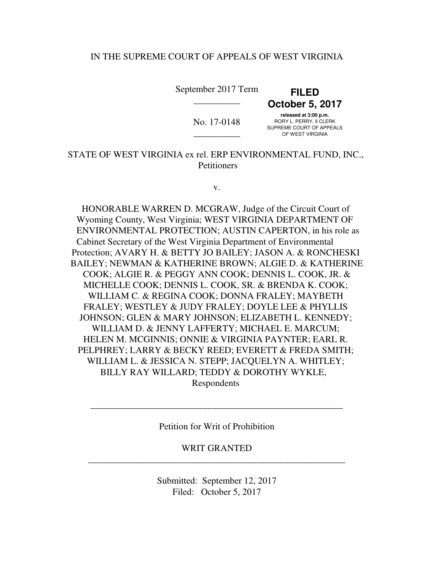# IN THE SUPREME COURT OF APPEALS OF WEST VIRGINIA

 **October 5, 2017 released at 3:00 p.m.**   $\text{No. } 17\text{-}0148$  RORY L. PERRY, II CLERK SUPREME COURT OF APPEALS OUT NEWLET OUT NOT THE SUCH OF A VIRGINIA September 2017 Term **FILED**  \_\_\_\_\_\_\_\_\_\_

 STATE OF WEST VIRGINIA ex rel. ERP ENVIRONMENTAL FUND, INC., **Petitioners** 

v.

 HONORABLE WARREN D. MCGRAW, Judge of the Circuit Court of Wyoming County, West Virginia; WEST VIRGINIA DEPARTMENT OF ENVIRONMENTAL PROTECTION; AUSTIN CAPERTON, in his role as Cabinet Secretary of the West Virginia Department of Environmental Protection; AVARY H. & BETTY JO BAILEY; JASON A. & RONCHESKI BAILEY; NEWMAN & KATHERINE BROWN; ALGIE D. & KATHERINE COOK; ALGIE R. & PEGGY ANN COOK; DENNIS L. COOK, JR. & MICHELLE COOK; DENNIS L. COOK, SR. & BRENDA K. COOK; WILLIAM C. & REGINA COOK; DONNA FRALEY; MAYBETH FRALEY; WESTLEY & JUDY FRALEY; DOYLE LEE & PHYLLIS JOHNSON; GLEN & MARY JOHNSON; ELIZABETH L. KENNEDY; WILLIAM D. & JENNY LAFFERTY; MICHAEL E. MARCUM; HELEN M. MCGINNIS; ONNIE & VIRGINIA PAYNTER; EARL R. PELPHREY; LARRY & BECKY REED; EVERETT & FREDA SMITH; WILLIAM L. & JESSICA N. STEPP; JACQUELYN A. WHITLEY; BILLY RAY WILLARD; TEDDY & DOROTHY WYKLE, Respondents

Petition for Writ of Prohibition

\_\_\_\_\_\_\_\_\_\_\_\_\_\_\_\_\_\_\_\_\_\_\_\_\_\_\_\_\_\_\_\_\_\_\_\_\_\_\_\_\_\_\_\_\_\_\_\_\_\_\_\_\_\_

\_\_\_\_\_\_\_\_\_\_\_\_\_\_\_\_\_\_\_\_\_\_\_\_\_\_\_\_\_\_\_\_\_\_\_\_\_\_\_\_\_\_\_\_\_\_\_\_\_\_\_\_\_\_\_ WRIT GRANTED

> Submitted: September 12, 2017 Filed: October 5, 2017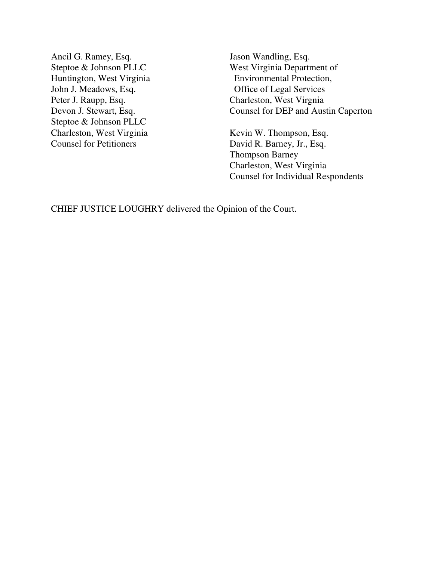Ancil G. Ramey, Esq. Steptoe & Johnson PLLC John J. Meadows, Esq. Peter J. Raupp, Esq. Devon J. Stewart, Esq. Steptoe & Johnson PLLC Charleston, West Virginia **Counsel for Petitioners** 

 Huntington, West Virginia Environmental Protection, Jason Wandling, Esq. West Virginia Department of Office of Legal Services Charleston, West Virgnia Counsel for DEP and Austin Caperton

> Charleston, West Virginia Counsel for Individual Respondents Kevin W. Thompson, Esq. David R. Barney, Jr., Esq. Thompson Barney

CHIEF JUSTICE LOUGHRY delivered the Opinion of the Court.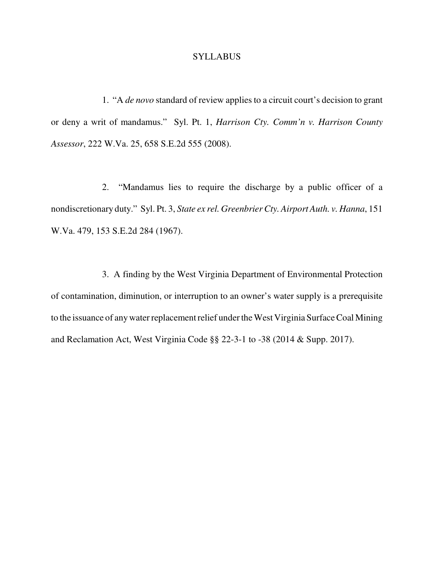#### **SYLLABUS**

 1. "A *de novo* standard of review applies to a circuit court's decision to grant or deny a writ of mandamus." Syl. Pt. 1, *Harrison Cty. Comm'n v. Harrison County Assessor*, 222 W.Va. 25, 658 S.E.2d 555 (2008).

 2. "Mandamus lies to require the discharge by a public officer of a nondiscretionary duty." Syl. Pt. 3, *State ex rel. Greenbrier Cty. Airport Auth. v. Hanna*, 151 W.Va. 479, 153 S.E.2d 284 (1967).

 3. A finding by the West Virginia Department of Environmental Protection of contamination, diminution, or interruption to an owner's water supply is a prerequisite to the issuance of any water replacement relief under the West Virginia Surface Coal Mining and Reclamation Act, West Virginia Code §§ 22-3-1 to -38 (2014 & Supp. 2017).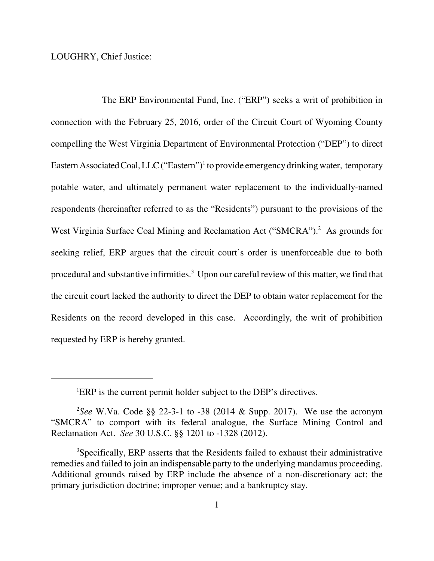LOUGHRY, Chief Justice:

 The ERP Environmental Fund, Inc. ("ERP") seeks a writ of prohibition in connection with the February 25, 2016, order of the Circuit Court of Wyoming County compelling the West Virginia Department of Environmental Protection ("DEP") to direct Eastern Associated Coal, LLC ("Eastern")<sup>1</sup> to provide emergency drinking water, temporary potable water, and ultimately permanent water replacement to the individually-named respondents (hereinafter referred to as the "Residents") pursuant to the provisions of the West Virginia Surface Coal Mining and Reclamation Act ("SMCRA").<sup>2</sup> As grounds for seeking relief, ERP argues that the circuit court's order is unenforceable due to both procedural and substantive infirmities.<sup>3</sup> Upon our careful review of this matter, we find that the circuit court lacked the authority to direct the DEP to obtain water replacement for the Residents on the record developed in this case. Accordingly, the writ of prohibition requested by ERP is hereby granted.

<sup>&</sup>lt;sup>1</sup>ERP is the current permit holder subject to the DEP's directives.

 2 *See* W.Va. Code §§ 22-3-1 to -38 (2014 & Supp. 2017). We use the acronym "SMCRA" to comport with its federal analogue, the Surface Mining Control and Reclamation Act. *See* 30 U.S.C. §§ 1201 to -1328 (2012).

 3 Specifically, ERP asserts that the Residents failed to exhaust their administrative remedies and failed to join an indispensable party to the underlying mandamus proceeding. Additional grounds raised by ERP include the absence of a non-discretionary act; the primary jurisdiction doctrine; improper venue; and a bankruptcy stay.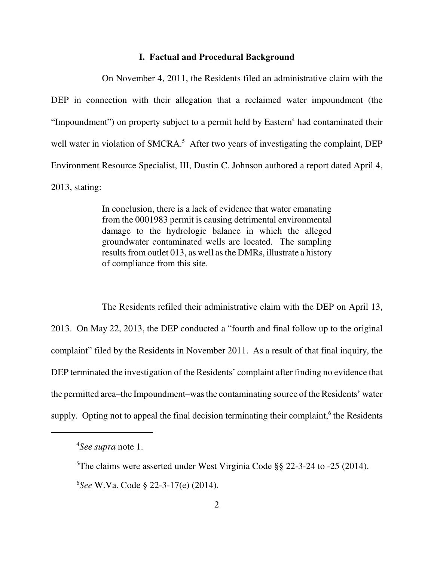# **I. Factual and Procedural Background**

 On November 4, 2011, the Residents filed an administrative claim with the DEP in connection with their allegation that a reclaimed water impoundment (the "Impoundment") on property subject to a permit held by  $Eastern<sup>4</sup>$  had contaminated their well water in violation of SMCRA.<sup>5</sup> After two years of investigating the complaint, DEP Environment Resource Specialist, III, Dustin C. Johnson authored a report dated April 4, 2013, stating:

> In conclusion, there is a lack of evidence that water emanating from the 0001983 permit is causing detrimental environmental damage to the hydrologic balance in which the alleged groundwater contaminated wells are located. The sampling results from outlet 013, as well as the DMRs, illustrate a history of compliance from this site.

 The Residents refiled their administrative claim with the DEP on April 13, 2013. On May 22, 2013, the DEP conducted a "fourth and final follow up to the original complaint" filed by the Residents in November 2011. As a result of that final inquiry, the DEP terminated the investigation of the Residents' complaint after finding no evidence that the permitted area–the Impoundment–was the contaminating source of the Residents' water supply. Opting not to appeal the final decision terminating their complaint,<sup>6</sup> the Residents

 4 *See supra* note 1.

 5 The claims were asserted under West Virginia Code §§ 22-3-24 to -25 (2014).

 6 *See* W.Va. Code § 22-3-17(e) (2014).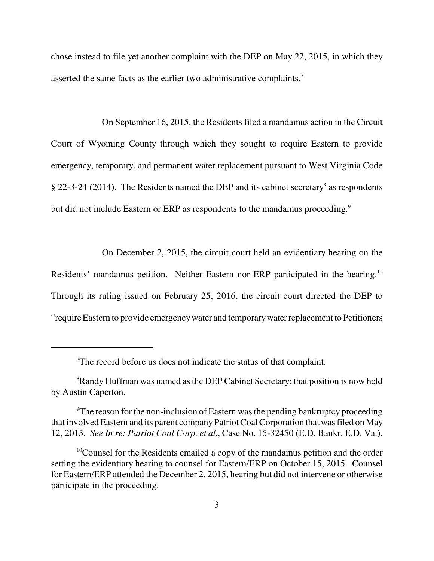chose instead to file yet another complaint with the DEP on May 22, 2015, in which they asserted the same facts as the earlier two administrative complaints.<sup>7</sup>

 On September 16, 2015, the Residents filed a mandamus action in the Circuit Court of Wyoming County through which they sought to require Eastern to provide emergency, temporary, and permanent water replacement pursuant to West Virginia Code  $\S$  22-3-24 (2014). The Residents named the DEP and its cabinet secretary<sup>8</sup> as respondents but did not include Eastern or ERP as respondents to the mandamus proceeding.<sup>9</sup>

On December 2, 2015, the circuit court held an evidentiary hearing on the

Residents' mandamus petition. Neither Eastern nor ERP participated in the hearing.<sup>10</sup> Through its ruling issued on February 25, 2016, the circuit court directed the DEP to "require Eastern to provide emergencywater and temporarywater replacement to Petitioners

 $T$ The record before us does not indicate the status of that complaint.

<sup>&</sup>lt;sup>8</sup>Randy Huffman was named as the DEP Cabinet Secretary; that position is now held by Austin Caperton.

<sup>&</sup>lt;sup>9</sup>The reason for the non-inclusion of Eastern was the pending bankruptcy proceeding that involved Eastern and its parent company Patriot Coal Corporation that was filed on May 12, 2015. *See In re: Patriot Coal Corp. et al.*, Case No. 15-32450 (E.D. Bankr. E.D. Va.).

 $10$ Counsel for the Residents emailed a copy of the mandamus petition and the order setting the evidentiary hearing to counsel for Eastern/ERP on October 15, 2015. Counsel for Eastern/ERP attended the December 2, 2015, hearing but did not intervene or otherwise participate in the proceeding.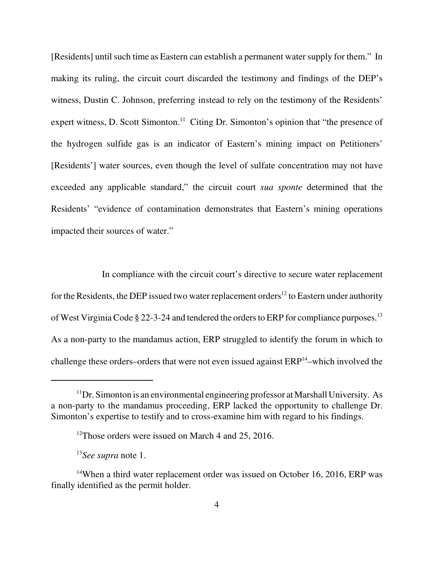[Residents] until such time as Eastern can establish a permanent water supply for them." In making its ruling, the circuit court discarded the testimony and findings of the DEP's witness, Dustin C. Johnson, preferring instead to rely on the testimony of the Residents' expert witness, D. Scott Simonton.<sup>11</sup> Citing Dr. Simonton's opinion that "the presence of the hydrogen sulfide gas is an indicator of Eastern's mining impact on Petitioners' [Residents'] water sources, even though the level of sulfate concentration may not have exceeded any applicable standard," the circuit court *sua sponte* determined that the Residents' "evidence of contamination demonstrates that Eastern's mining operations impacted their sources of water."

 In compliance with the circuit court's directive to secure water replacement for the Residents, the DEP issued two water replacement orders<sup>12</sup> to Eastern under authority of West Virginia Code  $\S 22$ -3-24 and tendered the orders to ERP for compliance purposes.<sup>13</sup> As a non-party to the mandamus action, ERP struggled to identify the forum in which to challenge these orders–orders that were not even issued against  $ERP<sup>14</sup>$ –which involved the

 $11$ Dr. Simonton is an environmental engineering professor at Marshall University. As a non-party to the mandamus proceeding, ERP lacked the opportunity to challenge Dr. Simonton's expertise to testify and to cross-examine him with regard to his findings.

 $12$ Those orders were issued on March 4 and 25, 2016.

 <sup>13</sup>*See supra* note 1.

 $14$ When a third water replacement order was issued on October 16, 2016, ERP was finally identified as the permit holder.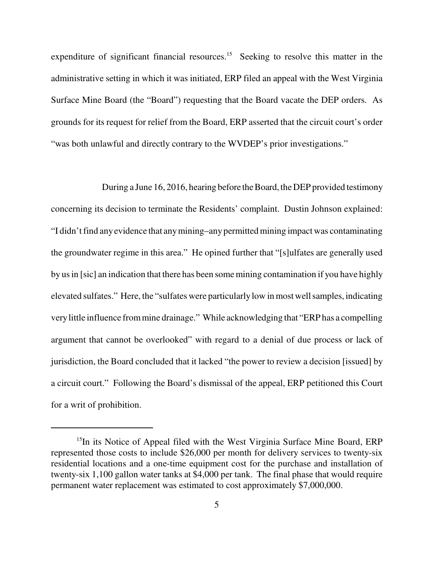expenditure of significant financial resources.<sup>15</sup> Seeking to resolve this matter in the administrative setting in which it was initiated, ERP filed an appeal with the West Virginia Surface Mine Board (the "Board") requesting that the Board vacate the DEP orders. As grounds for its request for relief from the Board, ERP asserted that the circuit court's order "was both unlawful and directly contrary to the WVDEP's prior investigations."

 During a June 16, 2016, hearing before the Board, the DEP provided testimony concerning its decision to terminate the Residents' complaint. Dustin Johnson explained: "I didn't find anyevidence that anymining–anypermitted mining impact was contaminating the groundwater regime in this area." He opined further that "[s]ulfates are generally used by us in [sic] an indication that there has been some mining contamination if you have highly elevated sulfates." Here, the "sulfates were particularly low in most well samples, indicating verylittle influence from mine drainage." While acknowledging that "ERP has a compelling argument that cannot be overlooked" with regard to a denial of due process or lack of jurisdiction, the Board concluded that it lacked "the power to review a decision [issued] by a circuit court." Following the Board's dismissal of the appeal, ERP petitioned this Court for a writ of prohibition.

<sup>&</sup>lt;sup>15</sup>In its Notice of Appeal filed with the West Virginia Surface Mine Board, ERP represented those costs to include \$26,000 per month for delivery services to twenty-six residential locations and a one-time equipment cost for the purchase and installation of twenty-six 1,100 gallon water tanks at \$4,000 per tank. The final phase that would require permanent water replacement was estimated to cost approximately \$7,000,000.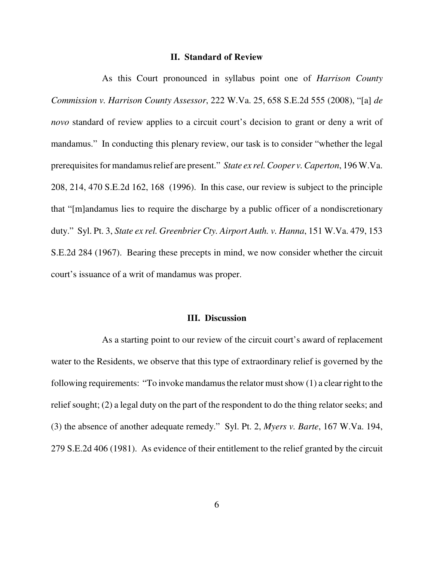# **II. Standard of Review**

 As this Court pronounced in syllabus point one of *Harrison County Commission v. Harrison County Assessor*, 222 W.Va. 25, 658 S.E.2d 555 (2008), "[a] *de novo* standard of review applies to a circuit court's decision to grant or deny a writ of mandamus." In conducting this plenary review, our task is to consider "whether the legal prerequisites for mandamus relief are present." *State ex rel. Cooper v. Caperton*, 196 W.Va. 208, 214, 470 S.E.2d 162, 168 (1996). In this case, our review is subject to the principle that "[m]andamus lies to require the discharge by a public officer of a nondiscretionary duty." Syl. Pt. 3, *State ex rel. Greenbrier Cty. Airport Auth. v. Hanna*, 151 W.Va. 479, 153 S.E.2d 284 (1967). Bearing these precepts in mind, we now consider whether the circuit court's issuance of a writ of mandamus was proper.

# **III. Discussion**

 As a starting point to our review of the circuit court's award of replacement water to the Residents, we observe that this type of extraordinary relief is governed by the following requirements: "To invoke mandamus the relator must show (1) a clear right to the relief sought; (2) a legal duty on the part of the respondent to do the thing relator seeks; and (3) the absence of another adequate remedy." Syl. Pt. 2, *Myers v. Barte*, 167 W.Va. 194, 279 S.E.2d 406 (1981). As evidence of their entitlement to the relief granted by the circuit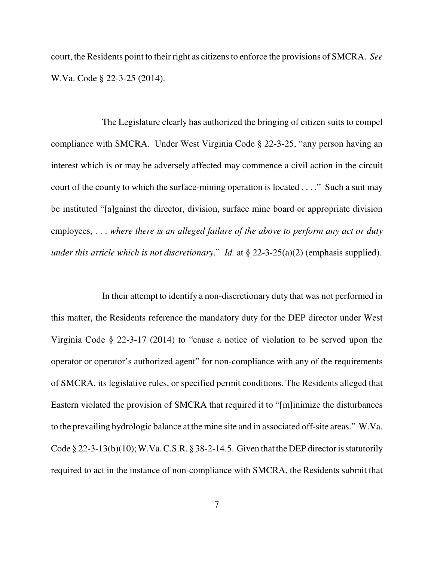court, the Residents point to their right as citizens to enforce the provisions of SMCRA. *See*  W.Va. Code § 22-3-25 (2014).

 The Legislature clearly has authorized the bringing of citizen suits to compel compliance with SMCRA. Under West Virginia Code § 22-3-25, "any person having an interest which is or may be adversely affected may commence a civil action in the circuit court of the county to which the surface-mining operation is located . . . ." Such a suit may be instituted "[a]gainst the director, division, surface mine board or appropriate division employees, . . . *where there is an alleged failure of the above to perform any act or duty under this article which is not discretionary*." *Id.* at § 22-3-25(a)(2) (emphasis supplied).

 In their attempt to identify a non-discretionary duty that was not performed in this matter, the Residents reference the mandatory duty for the DEP director under West Virginia Code § 22-3-17 (2014) to "cause a notice of violation to be served upon the operator or operator's authorized agent" for non-compliance with any of the requirements of SMCRA, its legislative rules, or specified permit conditions. The Residents alleged that Eastern violated the provision of SMCRA that required it to "[m]inimize the disturbances to the prevailing hydrologic balance at the mine site and in associated off-site areas." W.Va. Code  $\S 22-3-13(b)(10)$ ; W.Va. C.S.R.  $\S 38-2-14.5$ . Given that the DEP director is statutorily required to act in the instance of non-compliance with SMCRA, the Residents submit that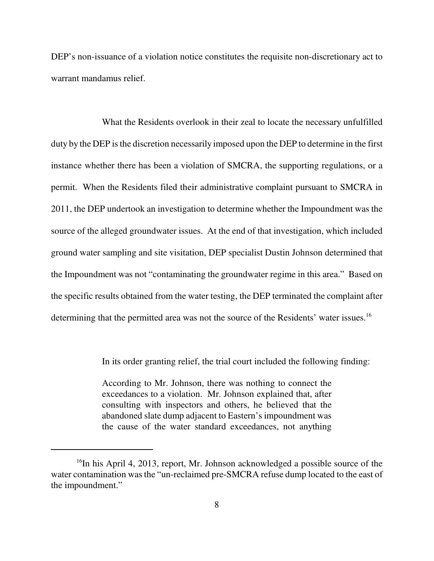DEP's non-issuance of a violation notice constitutes the requisite non-discretionary act to warrant mandamus relief.

 What the Residents overlook in their zeal to locate the necessary unfulfilled duty by the DEP is the discretion necessarily imposed upon the DEP to determine in the first instance whether there has been a violation of SMCRA, the supporting regulations, or a permit. When the Residents filed their administrative complaint pursuant to SMCRA in 2011, the DEP undertook an investigation to determine whether the Impoundment was the source of the alleged groundwater issues. At the end of that investigation, which included ground water sampling and site visitation, DEP specialist Dustin Johnson determined that the Impoundment was not "contaminating the groundwater regime in this area." Based on the specific results obtained from the water testing, the DEP terminated the complaint after determining that the permitted area was not the source of the Residents' water issues.<sup>16</sup>

In its order granting relief, the trial court included the following finding:

 According to Mr. Johnson, there was nothing to connect the exceedances to a violation. Mr. Johnson explained that, after consulting with inspectors and others, he believed that the abandoned slate dump adjacent to Eastern's impoundment was the cause of the water standard exceedances, not anything

<sup>&</sup>lt;sup>16</sup>In his April 4, 2013, report, Mr. Johnson acknowledged a possible source of the water contamination was the "un-reclaimed pre-SMCRA refuse dump located to the east of the impoundment."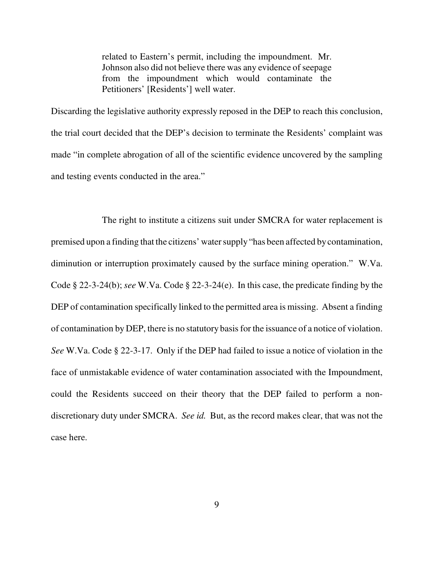related to Eastern's permit, including the impoundment. Mr. Johnson also did not believe there was any evidence of seepage from the impoundment which would contaminate the Petitioners' [Residents'] well water.

 Discarding the legislative authority expressly reposed in the DEP to reach this conclusion, the trial court decided that the DEP's decision to terminate the Residents' complaint was made "in complete abrogation of all of the scientific evidence uncovered by the sampling and testing events conducted in the area."

 The right to institute a citizens suit under SMCRA for water replacement is premised upon a finding that the citizens' water supply "has been affected by contamination, diminution or interruption proximately caused by the surface mining operation." W.Va. Code § 22-3-24(b); *see* W.Va. Code § 22-3-24(e). In this case, the predicate finding by the DEP of contamination specifically linked to the permitted area is missing. Absent a finding of contamination by DEP, there is no statutory basis for the issuance of a notice of violation. *See* W.Va. Code § 22-3-17. Only if the DEP had failed to issue a notice of violation in the face of unmistakable evidence of water contamination associated with the Impoundment, could the Residents succeed on their theory that the DEP failed to perform a non- discretionary duty under SMCRA. *See id.* But, as the record makes clear, that was not the case here.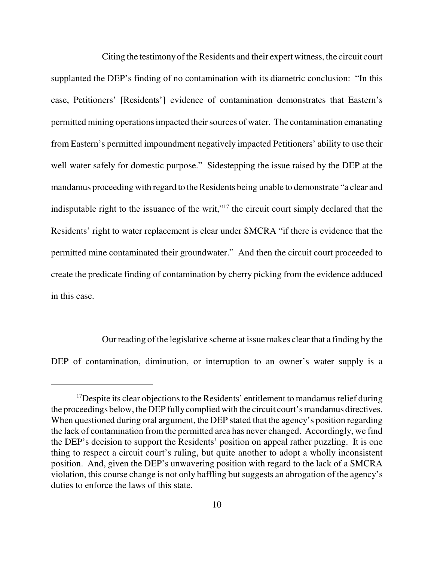Citing the testimony of the Residents and their expert witness, the circuit court supplanted the DEP's finding of no contamination with its diametric conclusion: "In this case, Petitioners' [Residents'] evidence of contamination demonstrates that Eastern's permitted mining operations impacted their sources of water. The contamination emanating from Eastern's permitted impoundment negatively impacted Petitioners' ability to use their well water safely for domestic purpose." Sidestepping the issue raised by the DEP at the mandamus proceeding with regard to the Residents being unable to demonstrate "a clear and indisputable right to the issuance of the writ,"<sup>17</sup> the circuit court simply declared that the Residents' right to water replacement is clear under SMCRA "if there is evidence that the permitted mine contaminated their groundwater." And then the circuit court proceeded to create the predicate finding of contamination by cherry picking from the evidence adduced in this case.

 Our reading of the legislative scheme at issue makes clear that a finding by the DEP of contamination, diminution, or interruption to an owner's water supply is a

 $17$ Despite its clear objections to the Residents' entitlement to mandamus relief during the proceedings below, the DEP fully complied with the circuit court's mandamus directives. When questioned during oral argument, the DEP stated that the agency's position regarding the lack of contamination from the permitted area has never changed. Accordingly, we find the DEP's decision to support the Residents' position on appeal rather puzzling. It is one thing to respect a circuit court's ruling, but quite another to adopt a wholly inconsistent position. And, given the DEP's unwavering position with regard to the lack of a SMCRA violation, this course change is not only baffling but suggests an abrogation of the agency's duties to enforce the laws of this state.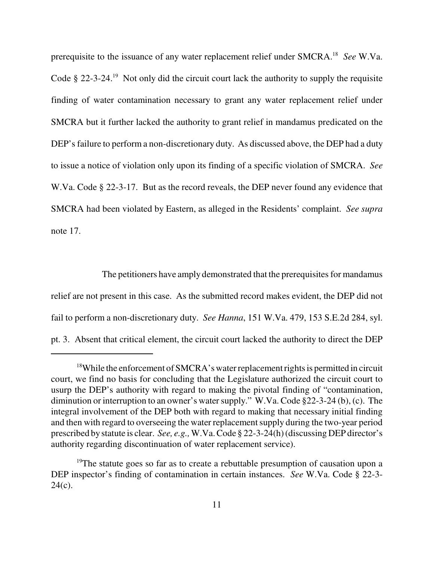prerequisite to the issuance of any water replacement relief under SMCRA.18 *See* W.Va. Code § 22-3-24.<sup>19</sup> Not only did the circuit court lack the authority to supply the requisite finding of water contamination necessary to grant any water replacement relief under SMCRA but it further lacked the authority to grant relief in mandamus predicated on the DEP's failure to perform a non-discretionary duty. As discussed above, the DEP had a duty to issue a notice of violation only upon its finding of a specific violation of SMCRA. *See*  W.Va. Code § 22-3-17. But as the record reveals, the DEP never found any evidence that SMCRA had been violated by Eastern, as alleged in the Residents' complaint. *See supra*  note 17.

 The petitioners have amply demonstrated that the prerequisites for mandamus relief are not present in this case. As the submitted record makes evident, the DEP did not fail to perform a non-discretionary duty. *See Hanna*, 151 W.Va. 479, 153 S.E.2d 284, syl. pt. 3. Absent that critical element, the circuit court lacked the authority to direct the DEP

 $18$ While the enforcement of SMCRA's water replacement rights is permitted in circuit court, we find no basis for concluding that the Legislature authorized the circuit court to usurp the DEP's authority with regard to making the pivotal finding of "contamination, diminution or interruption to an owner's water supply." W.Va. Code §22-3-24 (b), (c). The integral involvement of the DEP both with regard to making that necessary initial finding and then with regard to overseeing the water replacement supply during the two-year period prescribed by statute is clear. *See, e.g.,* W.Va. Code § 22-3-24(h) (discussing DEP director's authority regarding discontinuation of water replacement service).

<sup>&</sup>lt;sup>19</sup>The statute goes so far as to create a rebuttable presumption of causation upon a DEP inspector's finding of contamination in certain instances. *See* W.Va. Code § 22-3  $24(c)$ .